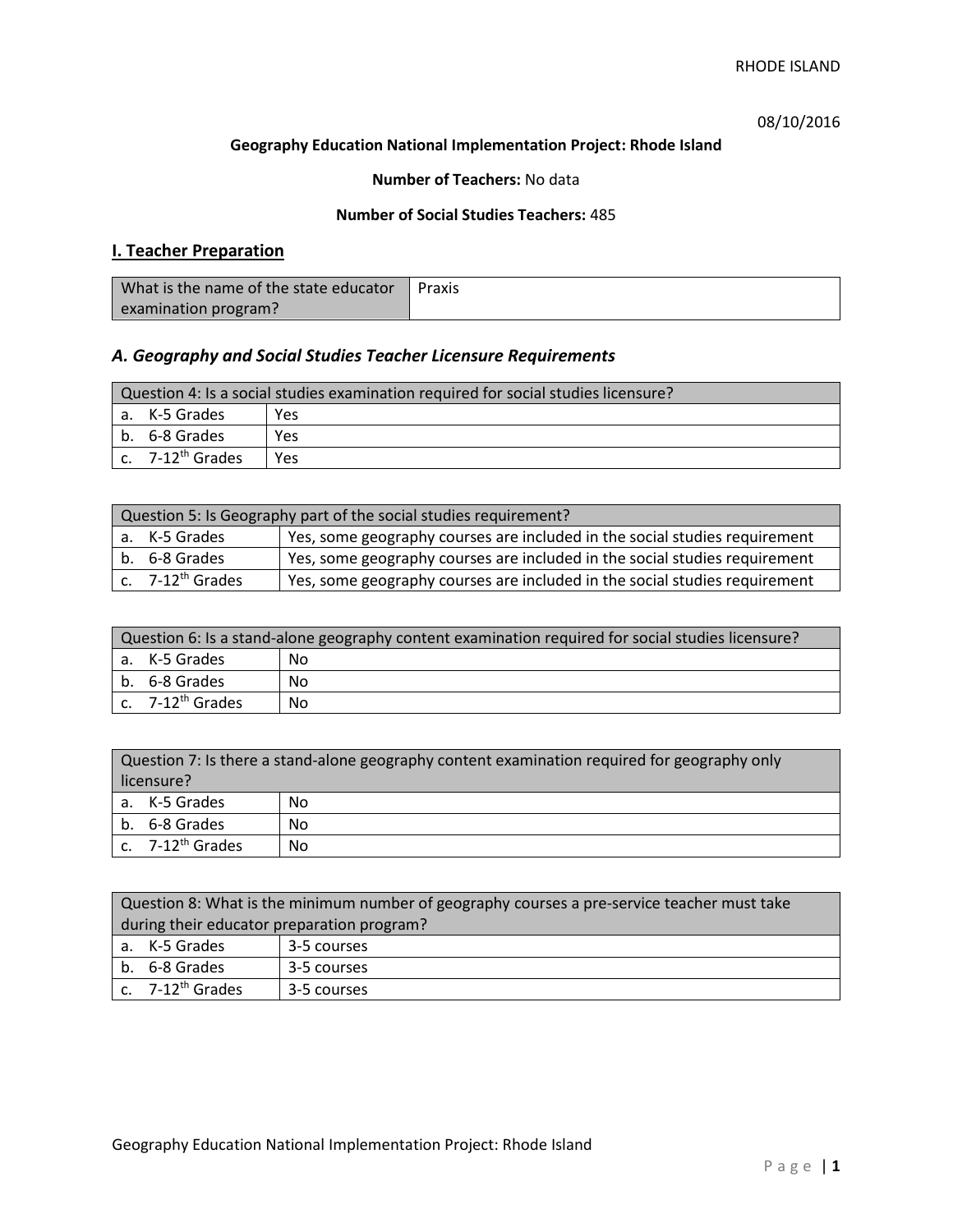# 08/10/2016

### **Geography Education National Implementation Project: Rhode Island**

## **Number of Teachers:** No data

## **Number of Social Studies Teachers:** 485

# **I. Teacher Preparation**

| What is the name of the state educator | Praxis |
|----------------------------------------|--------|
| examination program?                   |        |

# *A. Geography and Social Studies Teacher Licensure Requirements*

| Question 4: Is a social studies examination required for social studies licensure? |                                |      |
|------------------------------------------------------------------------------------|--------------------------------|------|
|                                                                                    | a. K-5 Grades                  | Yes. |
|                                                                                    | l b. 6-8 Grades                | Yes  |
|                                                                                    | $c.$ 7-12 <sup>th</sup> Grades | Yes. |

| Question 5: Is Geography part of the social studies requirement? |                              |                                                                            |
|------------------------------------------------------------------|------------------------------|----------------------------------------------------------------------------|
|                                                                  | a. K-5 Grades                | Yes, some geography courses are included in the social studies requirement |
|                                                                  | b. 6-8 Grades                | Yes, some geography courses are included in the social studies requirement |
|                                                                  | c. 7-12 <sup>th</sup> Grades | Yes, some geography courses are included in the social studies requirement |

| Question 6: Is a stand-alone geography content examination required for social studies licensure? |                       |    |
|---------------------------------------------------------------------------------------------------|-----------------------|----|
|                                                                                                   | a. K-5 Grades         | No |
|                                                                                                   | b. 6-8 Grades         | Nο |
|                                                                                                   | c. $7-12^{th}$ Grades | No |

| Question 7: Is there a stand-alone geography content examination required for geography only<br>licensure? |                              |    |
|------------------------------------------------------------------------------------------------------------|------------------------------|----|
|                                                                                                            | a. K-5 Grades                | No |
|                                                                                                            | b. 6-8 Grades                | No |
|                                                                                                            | c. 7-12 <sup>th</sup> Grades | No |

|                                            | Question 8: What is the minimum number of geography courses a pre-service teacher must take |             |  |
|--------------------------------------------|---------------------------------------------------------------------------------------------|-------------|--|
| during their educator preparation program? |                                                                                             |             |  |
|                                            | a. K-5 Grades                                                                               | 3-5 courses |  |
|                                            | b. 6-8 Grades                                                                               | 3-5 courses |  |
|                                            | $\vert$ c. 7-12 <sup>th</sup> Grades                                                        | 3-5 courses |  |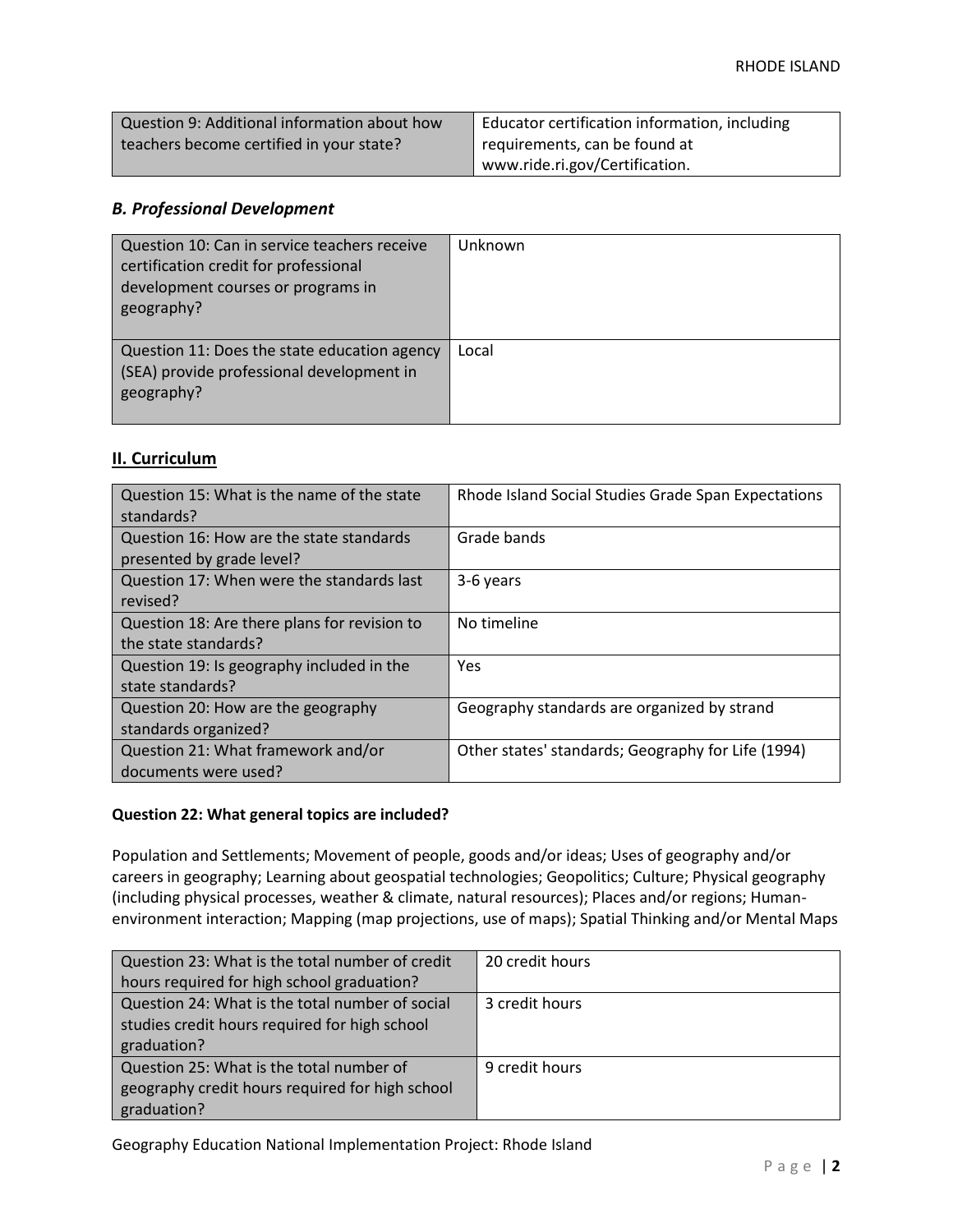| Question 9: Additional information about how | Educator certification information, including |
|----------------------------------------------|-----------------------------------------------|
| teachers become certified in your state?     | requirements, can be found at                 |
|                                              | www.ride.ri.gov/Certification.                |

## *B. Professional Development*

| Question 10: Can in service teachers receive<br>certification credit for professional<br>development courses or programs in<br>geography? | Unknown |
|-------------------------------------------------------------------------------------------------------------------------------------------|---------|
| Question 11: Does the state education agency<br>(SEA) provide professional development in<br>geography?                                   | Local   |

## **II. Curriculum**

| Question 15: What is the name of the state<br>standards?              | Rhode Island Social Studies Grade Span Expectations |
|-----------------------------------------------------------------------|-----------------------------------------------------|
| Question 16: How are the state standards<br>presented by grade level? | Grade bands                                         |
| Question 17: When were the standards last<br>revised?                 | 3-6 years                                           |
| Question 18: Are there plans for revision to<br>the state standards?  | No timeline                                         |
| Question 19: Is geography included in the<br>state standards?         | Yes                                                 |
| Question 20: How are the geography<br>standards organized?            | Geography standards are organized by strand         |
| Question 21: What framework and/or<br>documents were used?            | Other states' standards; Geography for Life (1994)  |

### **Question 22: What general topics are included?**

Population and Settlements; Movement of people, goods and/or ideas; Uses of geography and/or careers in geography; Learning about geospatial technologies; Geopolitics; Culture; Physical geography (including physical processes, weather & climate, natural resources); Places and/or regions; Humanenvironment interaction; Mapping (map projections, use of maps); Spatial Thinking and/or Mental Maps

| Question 23: What is the total number of credit | 20 credit hours |
|-------------------------------------------------|-----------------|
| hours required for high school graduation?      |                 |
| Question 24: What is the total number of social | 3 credit hours  |
| studies credit hours required for high school   |                 |
| graduation?                                     |                 |
| Question 25: What is the total number of        | 9 credit hours  |
| geography credit hours required for high school |                 |
| graduation?                                     |                 |